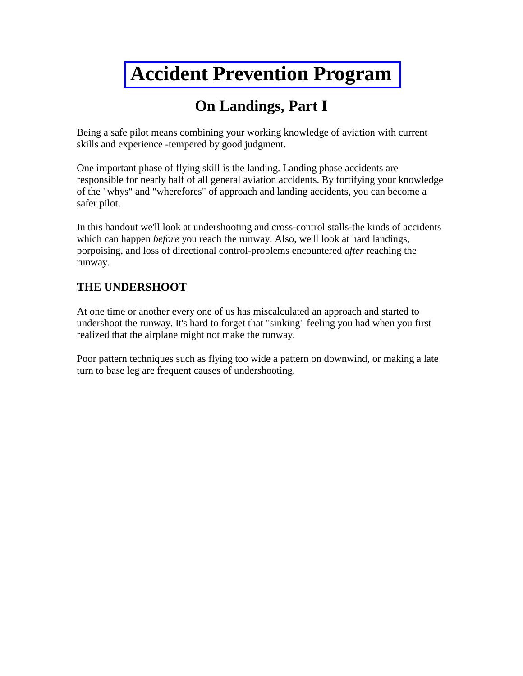# **[Accident Prevention Program](http://www.gofir.com/aviation_accident_prevention_program/)**

# **On Landings, Part I**

Being a safe pilot means combining your working knowledge of aviation with current skills and experience -tempered by good judgment.

One important phase of flying skill is the landing. Landing phase accidents are responsible for nearly half of all general aviation accidents. By fortifying your knowledge of the "whys" and "wherefores" of approach and landing accidents, you can become a safer pilot.

In this handout we'll look at undershooting and cross-control stalls-the kinds of accidents which can happen *before* you reach the runway. Also, we'll look at hard landings, porpoising, and loss of directional control-problems encountered *after* reaching the runway.

### **THE UNDERSHOOT**

At one time or another every one of us has miscalculated an approach and started to undershoot the runway. It's hard to forget that "sinking" feeling you had when you first realized that the airplane might not make the runway.

Poor pattern techniques such as flying too wide a pattern on downwind, or making a late turn to base leg are frequent causes of undershooting.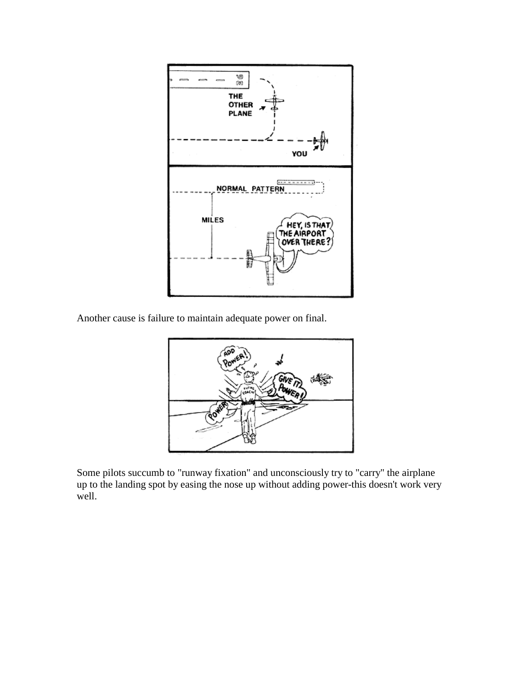

Another cause is failure to maintain adequate power on final.



Some pilots succumb to "runway fixation" and unconsciously try to "carry" the airplane up to the landing spot by easing the nose up without adding power-this doesn't work very well.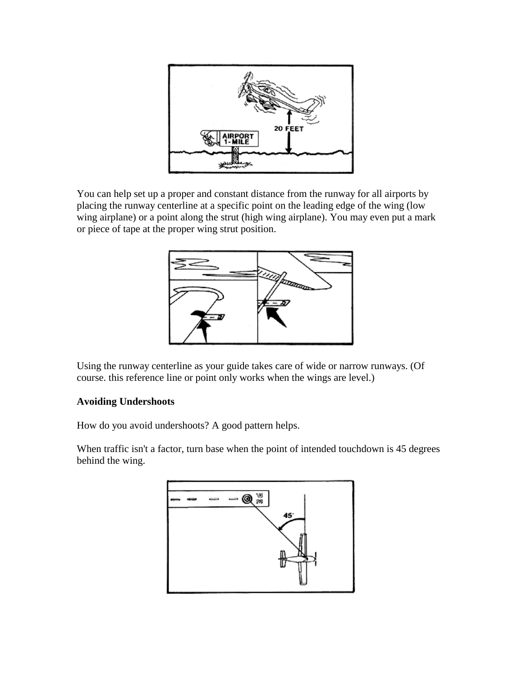

You can help set up a proper and constant distance from the runway for all airports by placing the runway centerline at a specific point on the leading edge of the wing (low wing airplane) or a point along the strut (high wing airplane). You may even put a mark or piece of tape at the proper wing strut position.



Using the runway centerline as your guide takes care of wide or narrow runways. (Of course. this reference line or point only works when the wings are level.)

#### **Avoiding Undershoots**

How do you avoid undershoots? A good pattern helps.

When traffic isn't a factor, turn base when the point of intended touchdown is 45 degrees behind the wing.

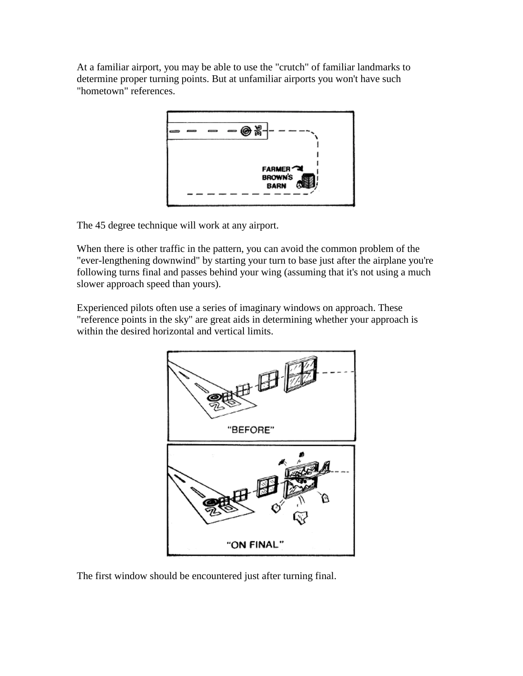At a familiar airport, you may be able to use the "crutch" of familiar landmarks to determine proper turning points. But at unfamiliar airports you won't have such "hometown" references.



The 45 degree technique will work at any airport.

When there is other traffic in the pattern, you can avoid the common problem of the "ever-lengthening downwind" by starting your turn to base just after the airplane you're following turns final and passes behind your wing (assuming that it's not using a much slower approach speed than yours).

Experienced pilots often use a series of imaginary windows on approach. These "reference points in the sky" are great aids in determining whether your approach is within the desired horizontal and vertical limits.



The first window should be encountered just after turning final.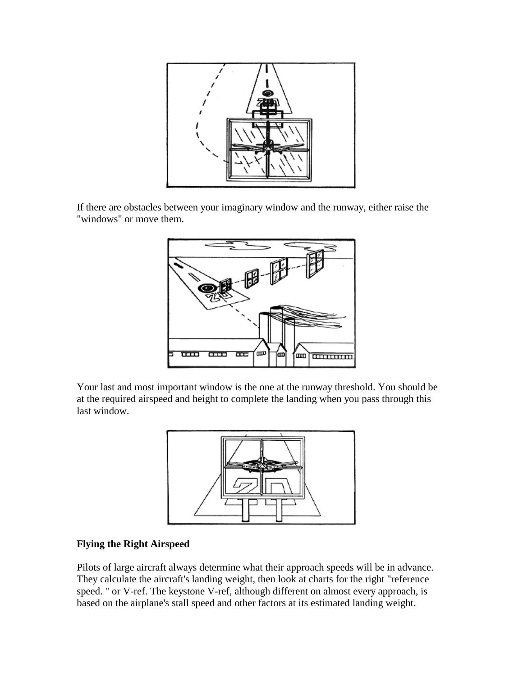

If there are obstacles between your imaginary window and the runway, either raise the "windows" or move them.



Your last and most important window is the one at the runway threshold. You should be at the required airspeed and height to complete the landing when you pass through this last window.



#### **Flying the Right Airspeed**

Pilots of large aircraft always determine what their approach speeds will be in advance. They calculate the aircraft's landing weight, then look at charts for the right "reference speed. " or V-ref. The keystone V-ref, although different on almost every approach, is based on the airplane's stall speed and other factors at its estimated landing weight.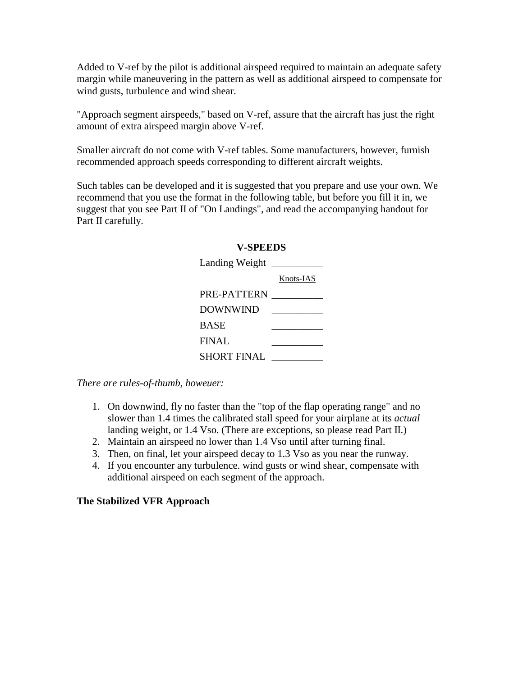Added to V-ref by the pilot is additional airspeed required to maintain an adequate safety margin while maneuvering in the pattern as well as additional airspeed to compensate for wind gusts, turbulence and wind shear.

"Approach segment airspeeds," based on V-ref, assure that the aircraft has just the right amount of extra airspeed margin above V-ref.

Smaller aircraft do not come with V-ref tables. Some manufacturers, however, furnish recommended approach speeds corresponding to different aircraft weights.

Such tables can be developed and it is suggested that you prepare and use your own. We recommend that you use the format in the following table, but before you fill it in, we suggest that you see Part II of "On Landings", and read the accompanying handout for Part II carefully.

#### **V-SPEEDS**

| Landing Weight     |           |
|--------------------|-----------|
|                    | Knots-IAS |
| PRE-PATTERN        |           |
| <b>DOWNWIND</b>    |           |
| <b>BASE</b>        |           |
| FINAL.             |           |
| <b>SHORT FINAL</b> |           |

*There are rules-of-thumb, howeuer:*

- 1. On downwind, fly no faster than the "top of the flap operating range" and no slower than 1.4 times the calibrated stall speed for your airplane at its *actual* landing weight, or 1.4 Vso. (There are exceptions, so please read Part II.)
- 2. Maintain an airspeed no lower than 1.4 Vso until after turning final.
- 3. Then, on final, let your airspeed decay to 1.3 Vso as you near the runway.
- 4. If you encounter any turbulence. wind gusts or wind shear, compensate with additional airspeed on each segment of the approach.

#### **The Stabilized VFR Approach**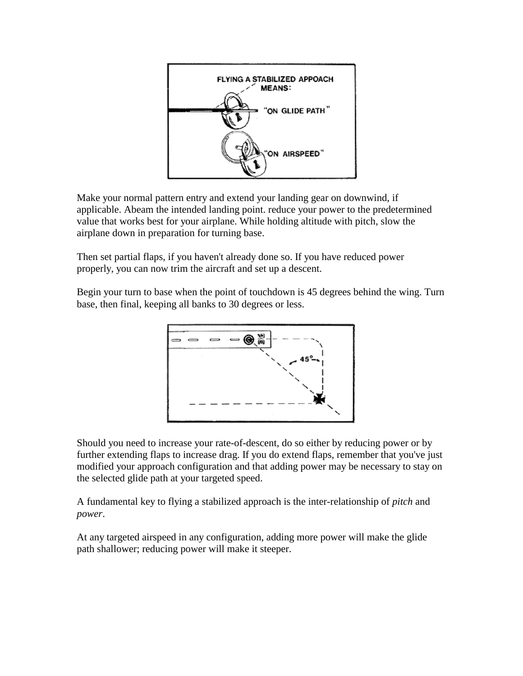

Make your normal pattern entry and extend your landing gear on downwind, if applicable. Abeam the intended landing point. reduce your power to the predetermined value that works best for your airplane. While holding altitude with pitch, slow the airplane down in preparation for turning base.

Then set partial flaps, if you haven't already done so. If you have reduced power properly, you can now trim the aircraft and set up a descent.

Begin your turn to base when the point of touchdown is 45 degrees behind the wing. Turn base, then final, keeping all banks to 30 degrees or less.



Should you need to increase your rate-of-descent, do so either by reducing power or by further extending flaps to increase drag. If you do extend flaps, remember that you've just modified your approach configuration and that adding power may be necessary to stay on the selected glide path at your targeted speed.

A fundamental key to flying a stabilized approach is the inter-relationship of *pitch* and *power*.

At any targeted airspeed in any configuration, adding more power will make the glide path shallower; reducing power will make it steeper.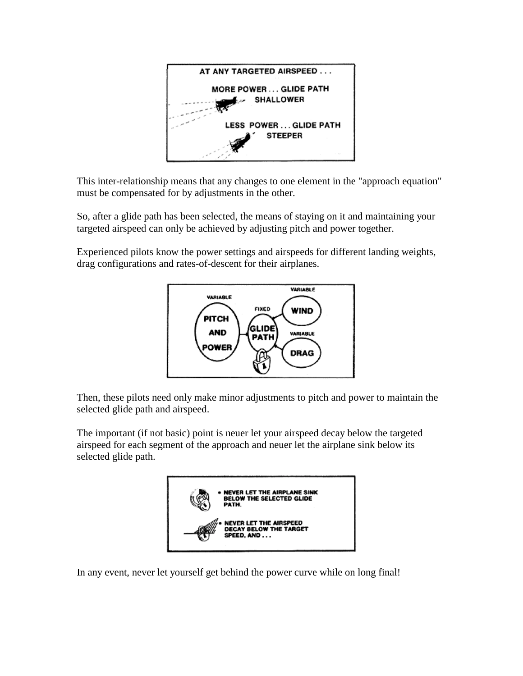

This inter-relationship means that any changes to one element in the "approach equation" must be compensated for by adjustments in the other.

So, after a glide path has been selected, the means of staying on it and maintaining your targeted airspeed can only be achieved by adjusting pitch and power together.

Experienced pilots know the power settings and airspeeds for different landing weights, drag configurations and rates-of-descent for their airplanes.



Then, these pilots need only make minor adjustments to pitch and power to maintain the selected glide path and airspeed.

The important (if not basic) point is neuer let your airspeed decay below the targeted airspeed for each segment of the approach and neuer let the airplane sink below its selected glide path.



In any event, never let yourself get behind the power curve while on long final!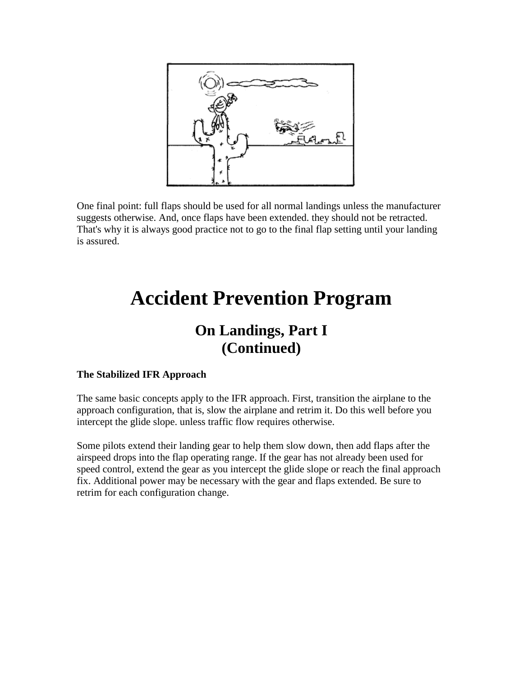

One final point: full flaps should be used for all normal landings unless the manufacturer suggests otherwise. And, once flaps have been extended. they should not be retracted. That's why it is always good practice not to go to the final flap setting until your landing is assured.

# **Accident Prevention Program**

# **On Landings, Part I (Continued)**

#### **The Stabilized IFR Approach**

The same basic concepts apply to the IFR approach. First, transition the airplane to the approach configuration, that is, slow the airplane and retrim it. Do this well before you intercept the glide slope. unless traffic flow requires otherwise.

Some pilots extend their landing gear to help them slow down, then add flaps after the airspeed drops into the flap operating range. If the gear has not already been used for speed control, extend the gear as you intercept the glide slope or reach the final approach fix. Additional power may be necessary with the gear and flaps extended. Be sure to retrim for each configuration change.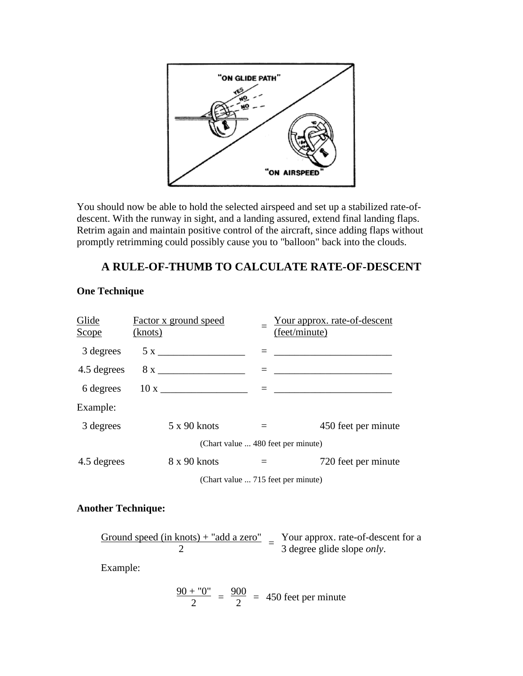

You should now be able to hold the selected airspeed and set up a stabilized rate-ofdescent. With the runway in sight, and a landing assured, extend final landing flaps. Retrim again and maintain positive control of the aircraft, since adding flaps without promptly retrimming could possibly cause you to "balloon" back into the clouds.

### **A RULE-OF-THUMB TO CALCULATE RATE-OF-DESCENT**

#### **One Technique**

| Glide<br>Scope | <b>Factor x ground speed</b><br>(knots) |                                    | Your approx. rate-of-descent<br>(feet/minute) |
|----------------|-----------------------------------------|------------------------------------|-----------------------------------------------|
| 3 degrees      | 5x                                      |                                    |                                               |
| 4.5 degrees    |                                         |                                    |                                               |
| 6 degrees      |                                         |                                    |                                               |
| Example:       |                                         |                                    |                                               |
| 3 degrees      | $5 \times 90$ knots                     |                                    | 450 feet per minute                           |
|                |                                         | (Chart value  480 feet per minute) |                                               |
| 4.5 degrees    | 8 x 90 knots                            | $=$                                | 720 feet per minute                           |
|                |                                         | (Chart value  715 feet per minute) |                                               |

#### **Another Technique:**

Ground speed (in knots) + "add a zero"  

$$
= \frac{Your approx. rate-of-descent for a 3 degree glide slope only.
$$

Example:

$$
\frac{90 + 90}{2} = \frac{900}{2} = 450 \text{ feet per minute}
$$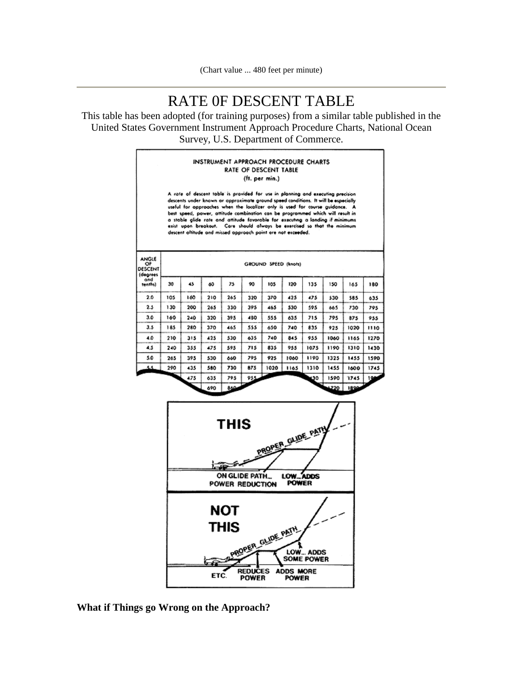(Chart value ... 480 feet per minute)

# RATE 0F DESCENT TABLE

This table has been adopted (for training purposes) from a similar table published in the United States Government Instrument Approach Procedure Charts, National Ocean Survey, U.S. Department of Commerce.

| INSTRUMENT APPROACH PROCEDURE CHARTS<br>RATE OF DESCENT TABLE<br>(ft. per min.)<br>A rate of descent toble is provided for use in planning and executing precision<br>descents under known or approximate ground speed conditions. It will be especially<br>useful for approaches when the localizer only is used for course guidance. A<br>best speed, power, attitude combination can be programmed which will result in<br>a stable glide rate and attitude favorable for executing a landing if minimums<br>exist upon breakout. Care should always be exercised so that the minimum<br>descent altitude and missed approach point are not exceeded. |                                                                                                                                                     |     |     |     |     |      |      |      |      |      |      |
|----------------------------------------------------------------------------------------------------------------------------------------------------------------------------------------------------------------------------------------------------------------------------------------------------------------------------------------------------------------------------------------------------------------------------------------------------------------------------------------------------------------------------------------------------------------------------------------------------------------------------------------------------------|-----------------------------------------------------------------------------------------------------------------------------------------------------|-----|-----|-----|-----|------|------|------|------|------|------|
| ANGLE<br>OF<br><b>ESCENT</b><br>degrees                                                                                                                                                                                                                                                                                                                                                                                                                                                                                                                                                                                                                  | GROUND SPEED (knots)                                                                                                                                |     |     |     |     |      |      |      |      |      |      |
| and<br>tenths)                                                                                                                                                                                                                                                                                                                                                                                                                                                                                                                                                                                                                                           | 30                                                                                                                                                  | 45  | 60  | 75  | 90  | 105  | 120  | 135  | 150  | 165  | 180  |
| 2.0                                                                                                                                                                                                                                                                                                                                                                                                                                                                                                                                                                                                                                                      | 105                                                                                                                                                 | 160 | 210 | 265 | 320 | 370  | 425  | 475  | 530  | 585  | 635  |
| 2.5                                                                                                                                                                                                                                                                                                                                                                                                                                                                                                                                                                                                                                                      | 130                                                                                                                                                 | 200 | 265 | 330 | 395 | 465  | 530  | 595  | 665  | 730  | 795  |
| 3.0                                                                                                                                                                                                                                                                                                                                                                                                                                                                                                                                                                                                                                                      | 160                                                                                                                                                 | 240 | 320 | 395 | 480 | 555  | 635  | 715  | 795  | 875  | 955  |
| 3.5                                                                                                                                                                                                                                                                                                                                                                                                                                                                                                                                                                                                                                                      | 185                                                                                                                                                 | 280 | 370 | 465 | 555 | 650  | 740  | 835  | 925  | 1020 | 1110 |
| 4.0                                                                                                                                                                                                                                                                                                                                                                                                                                                                                                                                                                                                                                                      | 210                                                                                                                                                 | 315 | 425 | 530 | 635 | 740  | 845  | 955  | 1060 | 1165 | 1270 |
| 4,5                                                                                                                                                                                                                                                                                                                                                                                                                                                                                                                                                                                                                                                      | 240                                                                                                                                                 | 355 | 475 | 595 | 715 | 835  | 955  | 1075 | 1190 | 1310 | 1430 |
| 5.0                                                                                                                                                                                                                                                                                                                                                                                                                                                                                                                                                                                                                                                      | 265                                                                                                                                                 | 395 | 530 | 660 | 795 | 925  | 1060 | 1190 | 1325 | 1455 | 1590 |
| 5.5                                                                                                                                                                                                                                                                                                                                                                                                                                                                                                                                                                                                                                                      | 290                                                                                                                                                 | 435 | 580 | 730 | 875 | 1020 | 1165 | 1310 | 1455 | 1600 | 1745 |
|                                                                                                                                                                                                                                                                                                                                                                                                                                                                                                                                                                                                                                                          |                                                                                                                                                     | 475 | 635 | 795 | 955 |      |      | ٥٥   | 1590 | 1745 | 19   |
| 690<br>860<br>220<br>1896                                                                                                                                                                                                                                                                                                                                                                                                                                                                                                                                                                                                                                |                                                                                                                                                     |     |     |     |     |      |      |      |      |      |      |
| THIS<br>PROPER GLIDE PATTY<br>قصا<br>ON GLIDE PATH<br><b>LOW_ADDS</b><br>POWER<br>POWER REDUCTION                                                                                                                                                                                                                                                                                                                                                                                                                                                                                                                                                        |                                                                                                                                                     |     |     |     |     |      |      |      |      |      |      |
|                                                                                                                                                                                                                                                                                                                                                                                                                                                                                                                                                                                                                                                          | нот<br>THIS<br>PROPER GLIDE PATH<br>LOW… ADDS<br>SOME POWER<br>c<br>æ<br><b>REDUCES</b><br><b>ADDS MORE</b><br>ETC.<br><b>POWER</b><br><b>POWER</b> |     |     |     |     |      |      |      |      |      |      |

**What if Things go Wrong on the Approach?**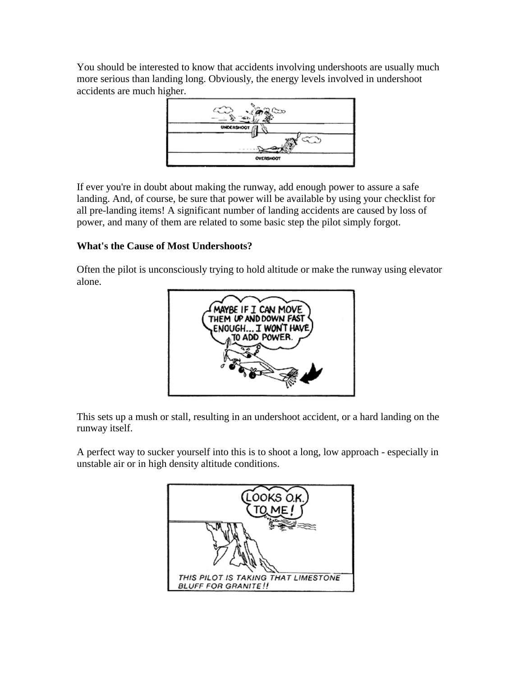You should be interested to know that accidents involving undershoots are usually much more serious than landing long. Obviously, the energy levels involved in undershoot accidents are much higher.



If ever you're in doubt about making the runway, add enough power to assure a safe landing. And, of course, be sure that power will be available by using your checklist for all pre-landing items! A significant number of landing accidents are caused by loss of power, and many of them are related to some basic step the pilot simply forgot.

#### **What's the Cause of Most Undershoots?**

Often the pilot is unconsciously trying to hold altitude or make the runway using elevator alone.



This sets up a mush or stall, resulting in an undershoot accident, or a hard landing on the runway itself.

A perfect way to sucker yourself into this is to shoot a long, low approach - especially in unstable air or in high density altitude conditions.

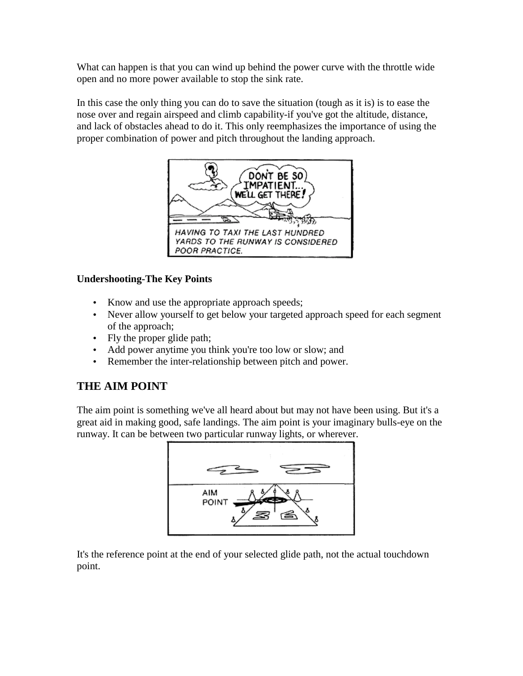What can happen is that you can wind up behind the power curve with the throttle wide open and no more power available to stop the sink rate.

In this case the only thing you can do to save the situation (tough as it is) is to ease the nose over and regain airspeed and climb capability-if you've got the altitude, distance, and lack of obstacles ahead to do it. This only reemphasizes the importance of using the proper combination of power and pitch throughout the landing approach.



### **Undershooting-The Key Points**

- Know and use the appropriate approach speeds;
- Never allow yourself to get below your targeted approach speed for each segment of the approach;
- Fly the proper glide path;
- Add power anytime you think you're too low or slow; and
- Remember the inter-relationship between pitch and power.

## **THE AIM POINT**

The aim point is something we've all heard about but may not have been using. But it's a great aid in making good, safe landings. The aim point is your imaginary bulls-eye on the runway. It can be between two particular runway lights, or wherever.



It's the reference point at the end of your selected glide path, not the actual touchdown point.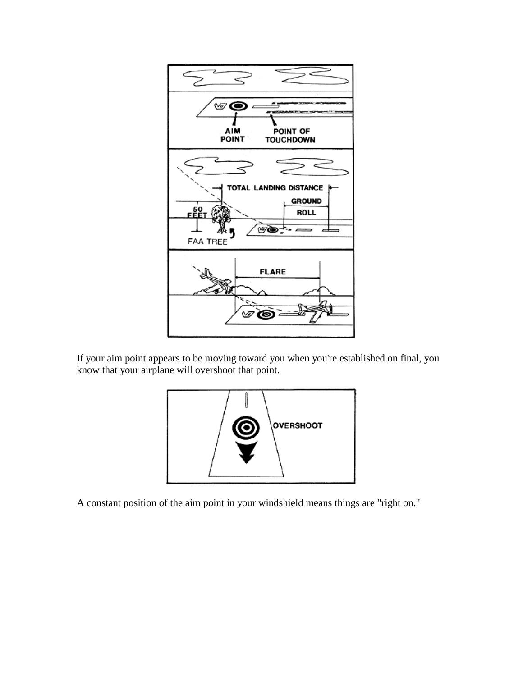

If your aim point appears to be moving toward you when you're established on final, you know that your airplane will overshoot that point.



A constant position of the aim point in your windshield means things are "right on."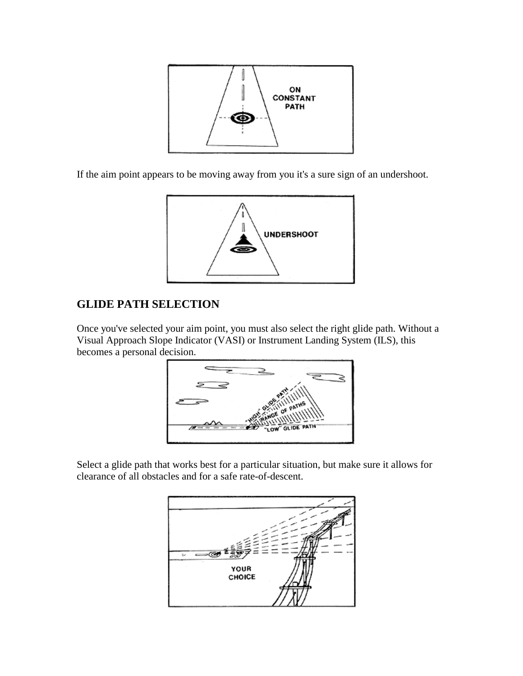

If the aim point appears to be moving away from you it's a sure sign of an undershoot.



## **GLIDE PATH SELECTION**

Once you've selected your aim point, you must also select the right glide path. Without a Visual Approach Slope Indicator (VASI) or Instrument Landing System (ILS), this becomes a personal decision.



Select a glide path that works best for a particular situation, but make sure it allows for clearance of all obstacles and for a safe rate-of-descent.

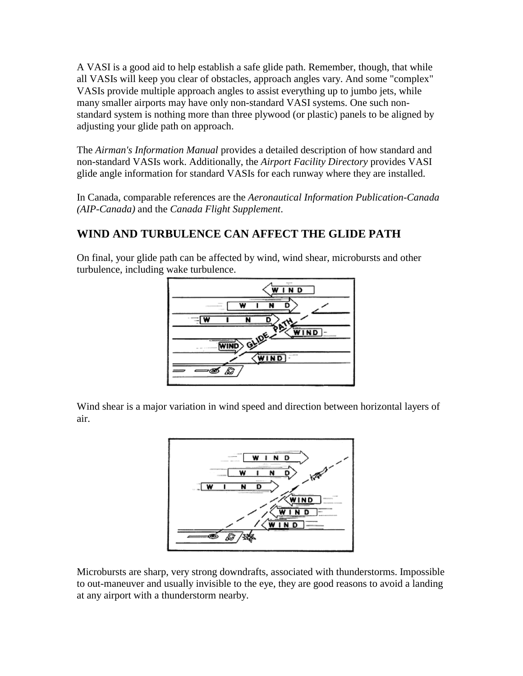A VASI is a good aid to help establish a safe glide path. Remember, though, that while all VASIs will keep you clear of obstacles, approach angles vary. And some "complex" VASIs provide multiple approach angles to assist everything up to jumbo jets, while many smaller airports may have only non-standard VASI systems. One such nonstandard system is nothing more than three plywood (or plastic) panels to be aligned by adjusting your glide path on approach.

The *Airman's Information Manual* provides a detailed description of how standard and non-standard VASIs work. Additionally, the *Airport Facility Directory* provides VASI glide angle information for standard VASIs for each runway where they are installed.

In Canada, comparable references are the *Aeronautical Information Publication-Canada (AIP-Canada)* and the *Canada Flight Supplement*.

## **WIND AND TURBULENCE CAN AFFECT THE GLIDE PATH**

On final, your glide path can be affected by wind, wind shear, microbursts and other turbulence, including wake turbulence.



Wind shear is a major variation in wind speed and direction between horizontal layers of air.



Microbursts are sharp, very strong downdrafts, associated with thunderstorms. Impossible to out-maneuver and usually invisible to the eye, they are good reasons to avoid a landing at any airport with a thunderstorm nearby.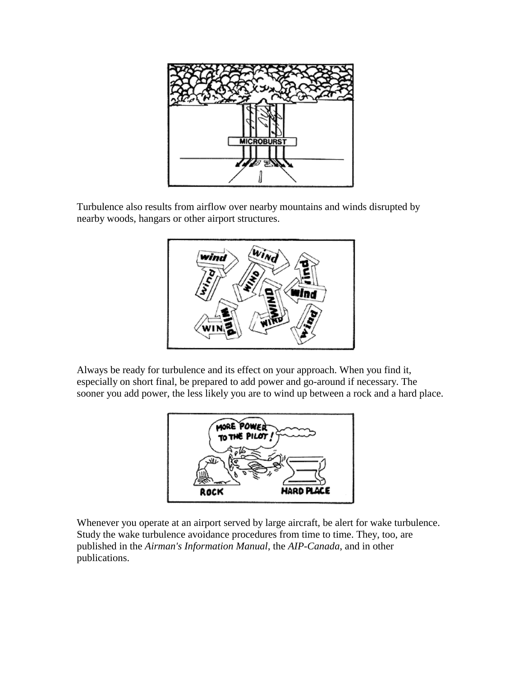

Turbulence also results from airflow over nearby mountains and winds disrupted by nearby woods, hangars or other airport structures.



Always be ready for turbulence and its effect on your approach. When you find it, especially on short final, be prepared to add power and go-around if necessary. The sooner you add power, the less likely you are to wind up between a rock and a hard place.



Whenever you operate at an airport served by large aircraft, be alert for wake turbulence. Study the wake turbulence avoidance procedures from time to time. They, too, are published in the *Airman's Information Manual*, the *AIP-Canada*, and in other publications.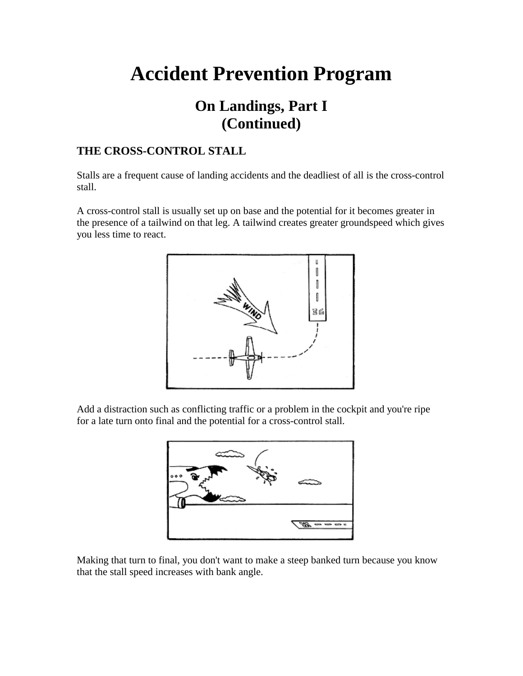# **Accident Prevention Program**

## **On Landings, Part I (Continued)**

#### **THE CROSS-CONTROL STALL**

Stalls are a frequent cause of landing accidents and the deadliest of all is the cross-control stall.

A cross-control stall is usually set up on base and the potential for it becomes greater in the presence of a tailwind on that leg. A tailwind creates greater groundspeed which gives you less time to react.



Add a distraction such as conflicting traffic or a problem in the cockpit and you're ripe for a late turn onto final and the potential for a cross-control stall.



Making that turn to final, you don't want to make a steep banked turn because you know that the stall speed increases with bank angle.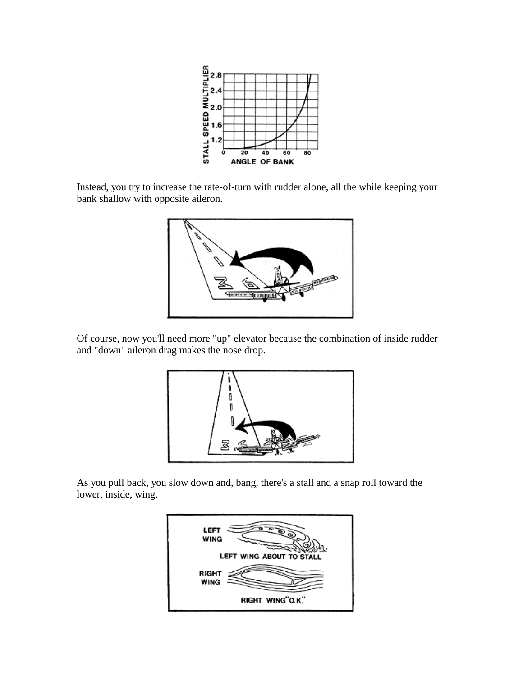

Instead, you try to increase the rate-of-turn with rudder alone, all the while keeping your bank shallow with opposite aileron.



Of course, now you'll need more "up" elevator because the combination of inside rudder and "down" aileron drag makes the nose drop.



As you pull back, you slow down and, bang, there's a stall and a snap roll toward the lower, inside, wing.

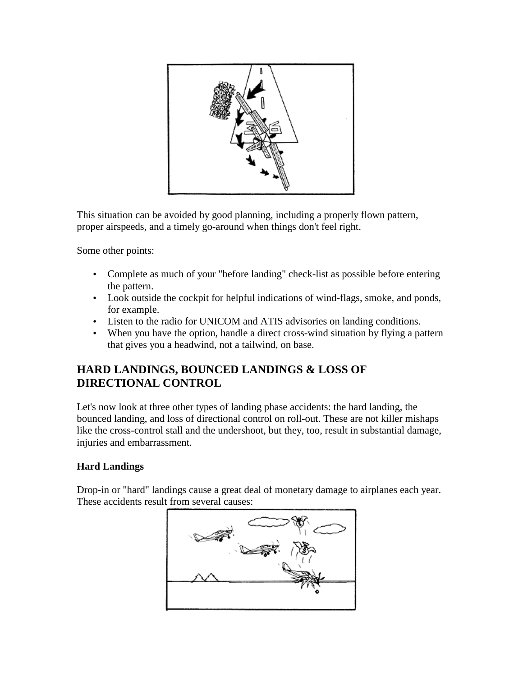

This situation can be avoided by good planning, including a properly flown pattern, proper airspeeds, and a timely go-around when things don't feel right.

Some other points:

- Complete as much of your "before landing" check-list as possible before entering the pattern.
- Look outside the cockpit for helpful indications of wind-flags, smoke, and ponds, for example.
- Listen to the radio for UNICOM and ATIS advisories on landing conditions.
- When you have the option, handle a direct cross-wind situation by flying a pattern that gives you a headwind, not a tailwind, on base.

## **HARD LANDINGS, BOUNCED LANDINGS & LOSS OF DIRECTIONAL CONTROL**

Let's now look at three other types of landing phase accidents: the hard landing, the bounced landing, and loss of directional control on roll-out. These are not killer mishaps like the cross-control stall and the undershoot, but they, too, result in substantial damage, injuries and embarrassment.

### **Hard Landings**

Drop-in or "hard" landings cause a great deal of monetary damage to airplanes each year. These accidents result from several causes:

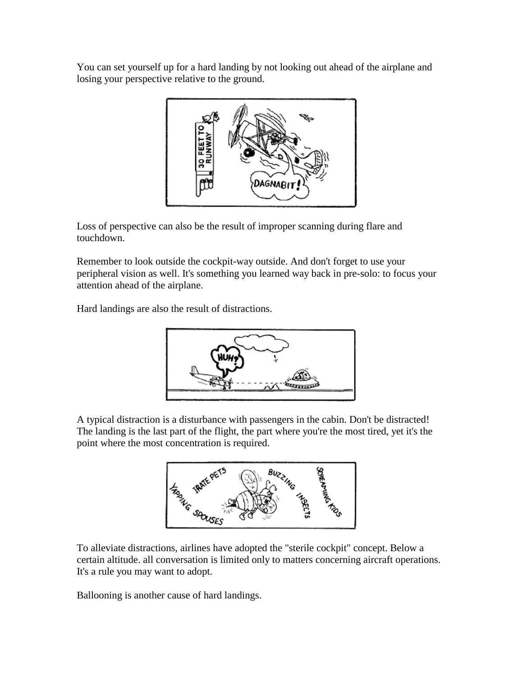You can set yourself up for a hard landing by not looking out ahead of the airplane and losing your perspective relative to the ground.



Loss of perspective can also be the result of improper scanning during flare and touchdown.

Remember to look outside the cockpit-way outside. And don't forget to use your peripheral vision as well. It's something you learned way back in pre-solo: to focus your attention ahead of the airplane.

Hard landings are also the result of distractions.



A typical distraction is a disturbance with passengers in the cabin. Don't be distracted! The landing is the last part of the flight, the part where you're the most tired, yet it's the point where the most concentration is required.



To alleviate distractions, airlines have adopted the "sterile cockpit" concept. Below a certain altitude. all conversation is limited only to matters concerning aircraft operations. It's a rule you may want to adopt.

Ballooning is another cause of hard landings.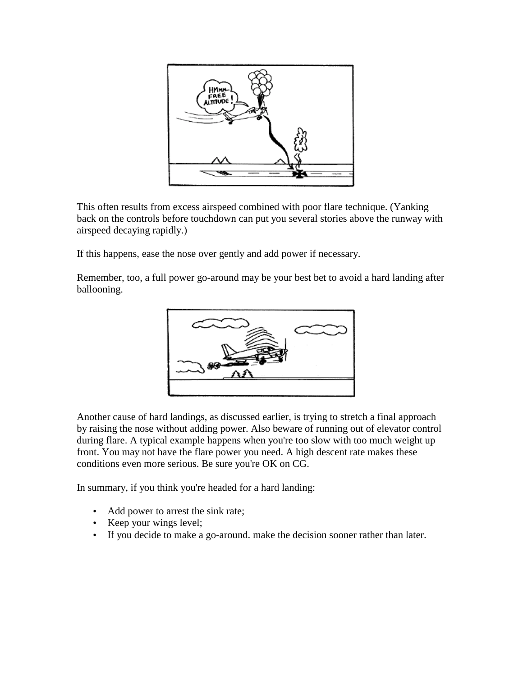

This often results from excess airspeed combined with poor flare technique. (Yanking back on the controls before touchdown can put you several stories above the runway with airspeed decaying rapidly.)

If this happens, ease the nose over gently and add power if necessary.

Remember, too, a full power go-around may be your best bet to avoid a hard landing after ballooning.



Another cause of hard landings, as discussed earlier, is trying to stretch a final approach by raising the nose without adding power. Also beware of running out of elevator control during flare. A typical example happens when you're too slow with too much weight up front. You may not have the flare power you need. A high descent rate makes these conditions even more serious. Be sure you're OK on CG.

In summary, if you think you're headed for a hard landing:

- Add power to arrest the sink rate;
- Keep your wings level;
- If you decide to make a go-around. make the decision sooner rather than later.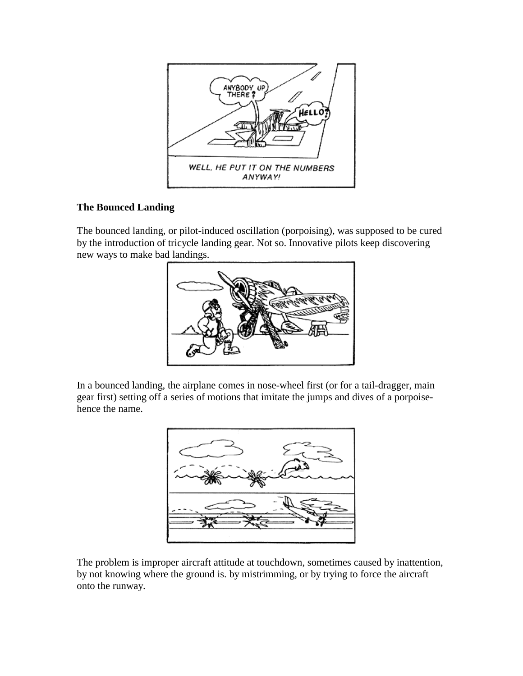

#### **The Bounced Landing**

The bounced landing, or pilot-induced oscillation (porpoising), was supposed to be cured by the introduction of tricycle landing gear. Not so. Innovative pilots keep discovering new ways to make bad landings.



In a bounced landing, the airplane comes in nose-wheel first (or for a tail-dragger, main gear first) setting off a series of motions that imitate the jumps and dives of a porpoisehence the name.



The problem is improper aircraft attitude at touchdown, sometimes caused by inattention, by not knowing where the ground is. by mistrimming, or by trying to force the aircraft onto the runway.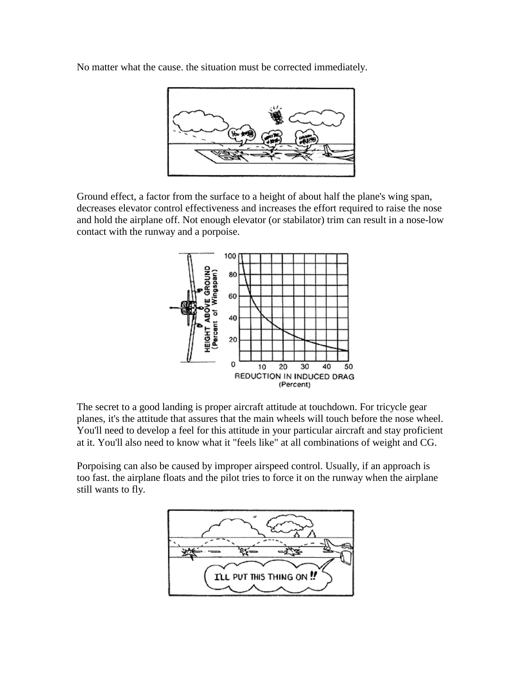No matter what the cause. the situation must be corrected immediately.



Ground effect, a factor from the surface to a height of about half the plane's wing span, decreases elevator control effectiveness and increases the effort required to raise the nose and hold the airplane off. Not enough elevator (or stabilator) trim can result in a nose-low contact with the runway and a porpoise.



The secret to a good landing is proper aircraft attitude at touchdown. For tricycle gear planes, it's the attitude that assures that the main wheels will touch before the nose wheel. You'll need to develop a feel for this attitude in your particular aircraft and stay proficient at it. You'll also need to know what it "feels like" at all combinations of weight and CG.

Porpoising can also be caused by improper airspeed control. Usually, if an approach is too fast. the airplane floats and the pilot tries to force it on the runway when the airplane still wants to fly.

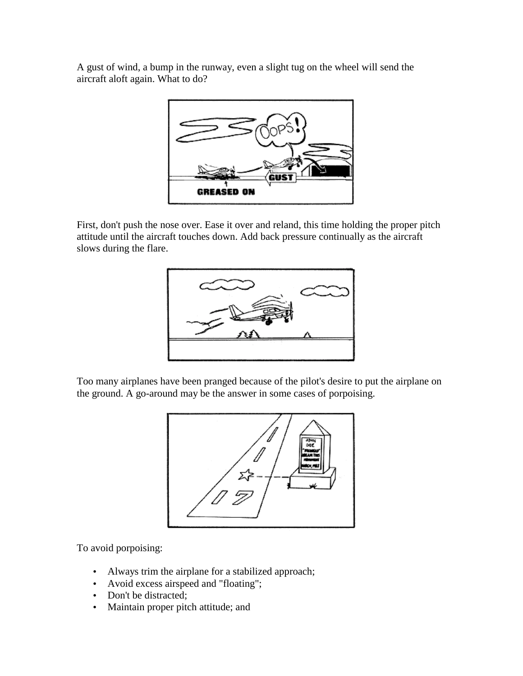A gust of wind, a bump in the runway, even a slight tug on the wheel will send the aircraft aloft again. What to do?



First, don't push the nose over. Ease it over and reland, this time holding the proper pitch attitude until the aircraft touches down. Add back pressure continually as the aircraft slows during the flare.



Too many airplanes have been pranged because of the pilot's desire to put the airplane on the ground. A go-around may be the answer in some cases of porpoising.



To avoid porpoising:

- Always trim the airplane for a stabilized approach;
- Avoid excess airspeed and "floating";
- Don't be distracted;
- Maintain proper pitch attitude; and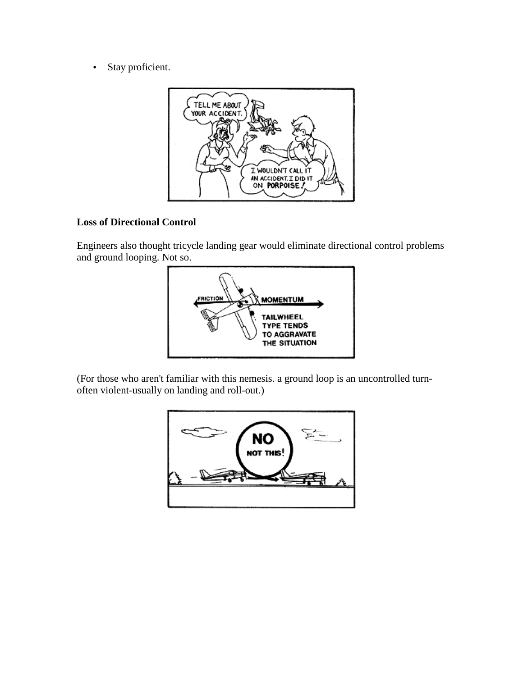• Stay proficient.



#### **Loss of Directional Control**

Engineers also thought tricycle landing gear would eliminate directional control problems and ground looping. Not so.



(For those who aren't familiar with this nemesis. a ground loop is an uncontrolled turnoften violent-usually on landing and roll-out.)

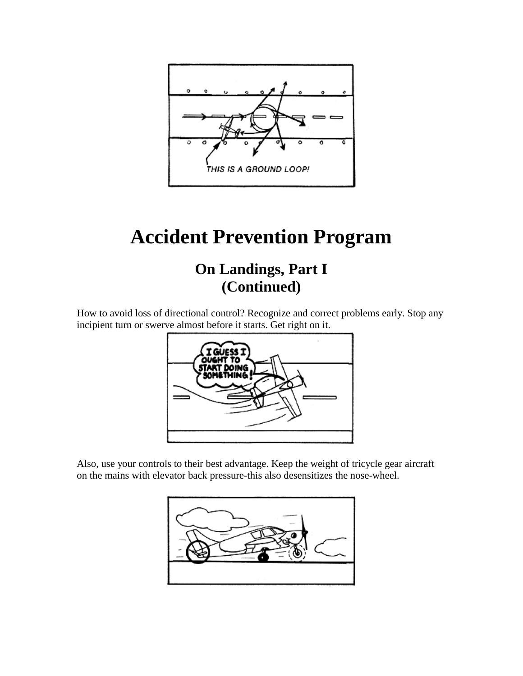

# **Accident Prevention Program**

# **On Landings, Part I (Continued)**

How to avoid loss of directional control? Recognize and correct problems early. Stop any incipient turn or swerve almost before it starts. Get right on it.



Also, use your controls to their best advantage. Keep the weight of tricycle gear aircraft on the mains with elevator back pressure-this also desensitizes the nose-wheel.

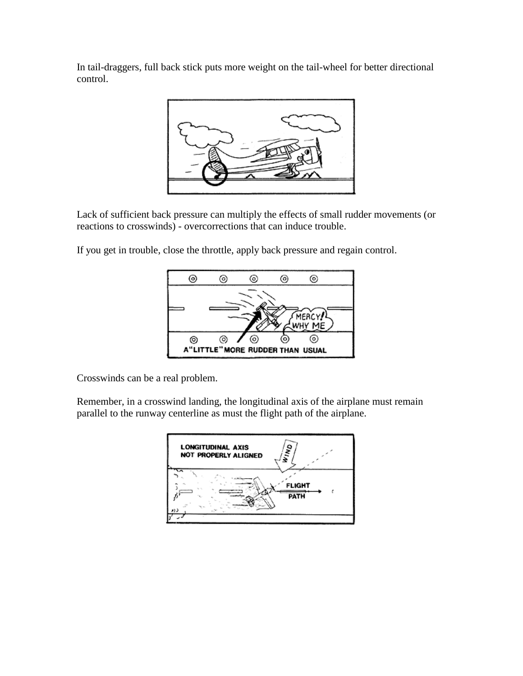In tail-draggers, full back stick puts more weight on the tail-wheel for better directional control.



Lack of sufficient back pressure can multiply the effects of small rudder movements (or reactions to crosswinds) - overcorrections that can induce trouble.

If you get in trouble, close the throttle, apply back pressure and regain control.



Crosswinds can be a real problem.

Remember, in a crosswind landing, the longitudinal axis of the airplane must remain parallel to the runway centerline as must the flight path of the airplane.

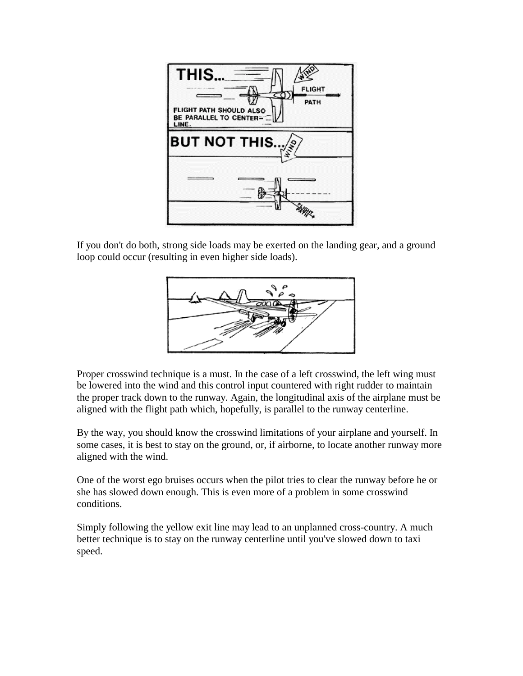

If you don't do both, strong side loads may be exerted on the landing gear, and a ground loop could occur (resulting in even higher side loads).



Proper crosswind technique is a must. In the case of a left crosswind, the left wing must be lowered into the wind and this control input countered with right rudder to maintain the proper track down to the runway. Again, the longitudinal axis of the airplane must be aligned with the flight path which, hopefully, is parallel to the runway centerline.

By the way, you should know the crosswind limitations of your airplane and yourself. In some cases, it is best to stay on the ground, or, if airborne, to locate another runway more aligned with the wind.

One of the worst ego bruises occurs when the pilot tries to clear the runway before he or she has slowed down enough. This is even more of a problem in some crosswind conditions.

Simply following the yellow exit line may lead to an unplanned cross-country. A much better technique is to stay on the runway centerline until you've slowed down to taxi speed.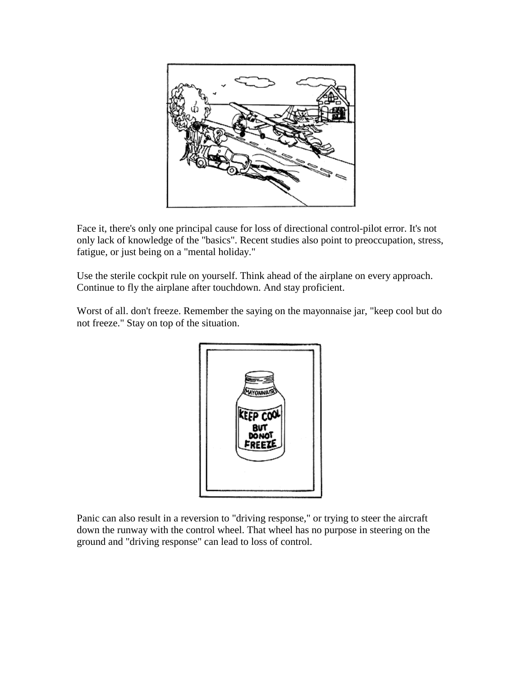

Face it, there's only one principal cause for loss of directional control-pilot error. It's not only lack of knowledge of the "basics". Recent studies also point to preoccupation, stress, fatigue, or just being on a "mental holiday."

Use the sterile cockpit rule on yourself. Think ahead of the airplane on every approach. Continue to fly the airplane after touchdown. And stay proficient.

Worst of all. don't freeze. Remember the saying on the mayonnaise jar, "keep cool but do not freeze." Stay on top of the situation.



Panic can also result in a reversion to "driving response," or trying to steer the aircraft down the runway with the control wheel. That wheel has no purpose in steering on the ground and "driving response" can lead to loss of control.